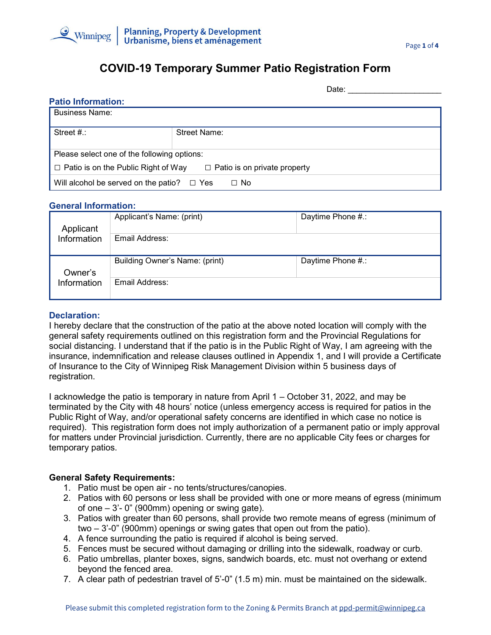

# **COVID-19 Temporary Summer Patio Registration Form**

|                                                                                   | Date:        |  |  |
|-----------------------------------------------------------------------------------|--------------|--|--|
| <b>Patio Information:</b>                                                         |              |  |  |
| <b>Business Name:</b>                                                             |              |  |  |
|                                                                                   |              |  |  |
| Street $#$ .:                                                                     | Street Name: |  |  |
|                                                                                   |              |  |  |
| Please select one of the following options:                                       |              |  |  |
| $\Box$ Patio is on the Public Right of Way<br>$\Box$ Patio is on private property |              |  |  |
| Will alcohol be served on the patio?<br>⊟ Yes<br>$\Box$ No                        |              |  |  |

#### **General Information:**

| Applicant<br>Information | Applicant's Name: (print)      | Daytime Phone #.: |
|--------------------------|--------------------------------|-------------------|
|                          | Email Address:                 |                   |
| Owner's                  | Building Owner's Name: (print) | Daytime Phone #.: |
| Information              | Email Address:                 |                   |

#### **Declaration:**

I hereby declare that the construction of the patio at the above noted location will comply with the general safety requirements outlined on this registration form and the Provincial Regulations for social distancing. I understand that if the patio is in the Public Right of Way, I am agreeing with the insurance, indemnification and release clauses outlined in Appendix 1, and I will provide a Certificate of Insurance to the City of Winnipeg Risk Management Division within 5 business days of registration.

I acknowledge the patio is temporary in nature from April 1 – October 31, 2022, and may be terminated by the City with 48 hours' notice (unless emergency access is required for patios in the Public Right of Way, and/or operational safety concerns are identified in which case no notice is required). This registration form does not imply authorization of a permanent patio or imply approval for matters under Provincial jurisdiction. Currently, there are no applicable City fees or charges for temporary patios.

## **General Safety Requirements:**

- 1. Patio must be open air no tents/structures/canopies.
- 2. Patios with 60 persons or less shall be provided with one or more means of egress (minimum of one  $-3'$ - 0" (900mm) opening or swing gate).
- 3. Patios with greater than 60 persons, shall provide two remote means of egress (minimum of two – 3'-0" (900mm) openings or swing gates that open out from the patio).
- 4. A fence surrounding the patio is required if alcohol is being served.
- 5. Fences must be secured without damaging or drilling into the sidewalk, roadway or curb.
- 6. Patio umbrellas, planter boxes, signs, sandwich boards, etc. must not overhang or extend beyond the fenced area.
- 7. A clear path of pedestrian travel of 5'-0" (1.5 m) min. must be maintained on the sidewalk.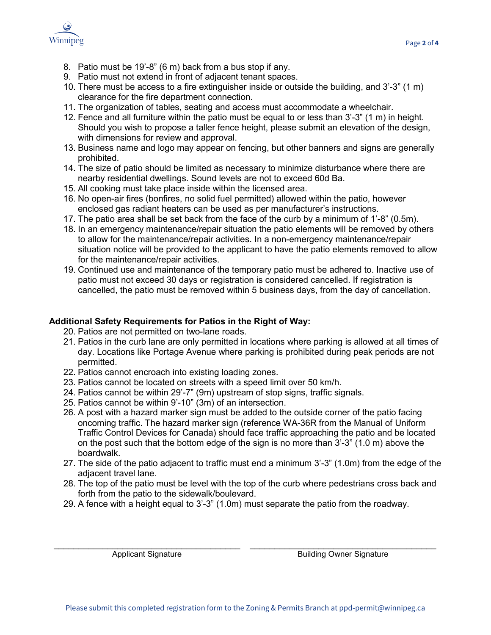

- 8. Patio must be 19'-8" (6 m) back from a bus stop if any.
- 9. Patio must not extend in front of adjacent tenant spaces.
- 10. There must be access to a fire extinguisher inside or outside the building, and 3'-3" (1 m) clearance for the fire department connection.
- 11. The organization of tables, seating and access must accommodate a wheelchair.
- 12. Fence and all furniture within the patio must be equal to or less than 3'-3" (1 m) in height. Should you wish to propose a taller fence height, please submit an elevation of the design, with dimensions for review and approval.
- 13. Business name and logo may appear on fencing, but other banners and signs are generally prohibited.
- 14. The size of patio should be limited as necessary to minimize disturbance where there are nearby residential dwellings. Sound levels are not to exceed 60d Ba.
- 15. All cooking must take place inside within the licensed area.
- 16. No open-air fires (bonfires, no solid fuel permitted) allowed within the patio, however enclosed gas radiant heaters can be used as per manufacturer's instructions.
- 17. The patio area shall be set back from the face of the curb by a minimum of 1'-8" (0.5m).
- 18. In an emergency maintenance/repair situation the patio elements will be removed by others to allow for the maintenance/repair activities. In a non-emergency maintenance/repair situation notice will be provided to the applicant to have the patio elements removed to allow for the maintenance/repair activities.
- 19. Continued use and maintenance of the temporary patio must be adhered to. Inactive use of patio must not exceed 30 days or registration is considered cancelled. If registration is cancelled, the patio must be removed within 5 business days, from the day of cancellation.

## **Additional Safety Requirements for Patios in the Right of Way:**

- 20. Patios are not permitted on two-lane roads.
- 21. Patios in the curb lane are only permitted in locations where parking is allowed at all times of day. Locations like Portage Avenue where parking is prohibited during peak periods are not permitted.
- 22. Patios cannot encroach into existing loading zones.
- 23. Patios cannot be located on streets with a speed limit over 50 km/h.
- 24. Patios cannot be within 29'-7" (9m) upstream of stop signs, traffic signals.
- 25. Patios cannot be within 9'-10" (3m) of an intersection.
- 26. A post with a hazard marker sign must be added to the outside corner of the patio facing oncoming traffic. The hazard marker sign (reference WA-36R from the Manual of Uniform Traffic Control Devices for Canada) should face traffic approaching the patio and be located on the post such that the bottom edge of the sign is no more than 3'-3" (1.0 m) above the boardwalk.
- 27. The side of the patio adjacent to traffic must end a minimum 3'-3" (1.0m) from the edge of the adjacent travel lane.
- 28. The top of the patio must be level with the top of the curb where pedestrians cross back and forth from the patio to the sidewalk/boulevard.
- 29. A fence with a height equal to 3'-3" (1.0m) must separate the patio from the roadway.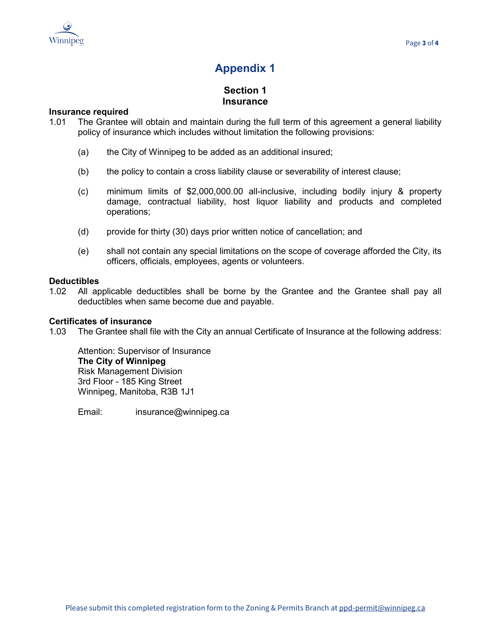

# **Appendix 1**

# **Section 1 Insurance**

#### **1 Insurance required**

- 1.01 The Grantee will obtain and maintain during the full term of this agreement a general liability policy of insurance which includes without limitation the following provisions:
	- (a) the City of Winnipeg to be added as an additional insured;
	- (b) the policy to contain a cross liability clause or severability of interest clause;
	- (c) minimum limits of \$2,000,000.00 all-inclusive, including bodily injury & property damage, contractual liability, host liquor liability and products and completed operations;
	- (d) provide for thirty (30) days prior written notice of cancellation; and
	- (e) shall not contain any special limitations on the scope of coverage afforded the City, its officers, officials, employees, agents or volunteers.

#### **1 Deductibles**

1.02 All applicable deductibles shall be borne by the Grantee and the Grantee shall pay all deductibles when same become due and payable.

#### **1 Certificates of insurance**

1.03 The Grantee shall file with the City an annual Certificate of Insurance at the following address:

Attention: Supervisor of Insurance **The City of Winnipeg** Risk Management Division 3rd Floor - 185 King Street Winnipeg, Manitoba, R3B 1J1

Email: insurance@winnipeg.ca